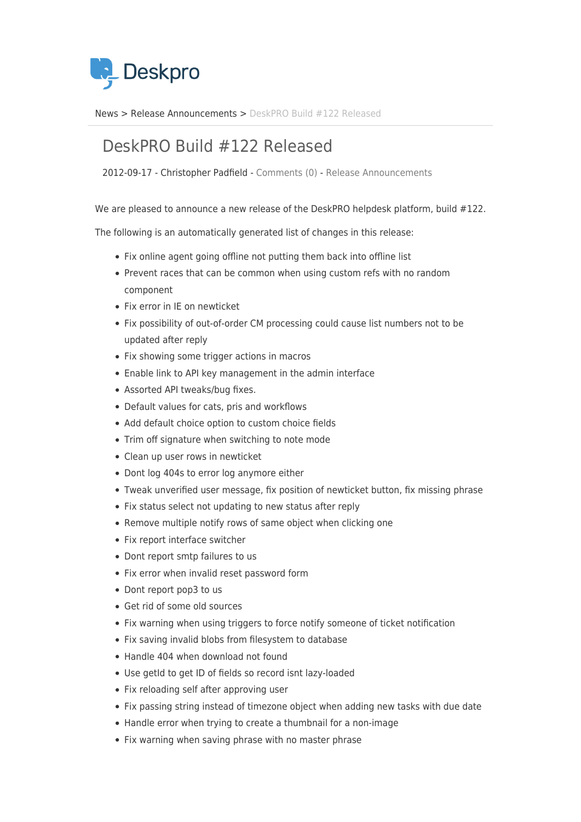

[News](https://support.deskpro.com/sv/news) > [Release Announcements](https://support.deskpro.com/sv/news/release-announcements) > [DeskPRO Build #122 Released](https://support.deskpro.com/sv/news/posts/deskpro-build-122-released)

## DeskPRO Build #122 Released

2012-09-17 - Christopher Padfield - [Comments \(0\)](#page--1-0) - [Release Announcements](https://support.deskpro.com/sv/news/release-announcements)

We are pleased to announce a new release of the DeskPRO helpdesk platform, build #122.

The following is an automatically generated list of changes in this release:

- Fix online agent going offline not putting them back into offline list
- Prevent races that can be common when using custom refs with no random component
- Fix error in IE on newticket
- Fix possibility of out-of-order CM processing could cause list numbers not to be updated after reply
- Fix showing some trigger actions in macros
- Enable link to API key management in the admin interface
- Assorted API tweaks/bug fixes.
- Default values for cats, pris and workflows
- Add default choice option to custom choice fields
- Trim off signature when switching to note mode
- Clean up user rows in newticket
- Dont log 404s to error log anymore either
- Tweak unverified user message, fix position of newticket button, fix missing phrase
- Fix status select not updating to new status after reply
- Remove multiple notify rows of same object when clicking one
- Fix report interface switcher
- Dont report smtp failures to us
- Fix error when invalid reset password form
- Dont report pop3 to us
- Get rid of some old sources
- Fix warning when using triggers to force notify someone of ticket notification
- Fix saving invalid blobs from filesystem to database
- Handle 404 when download not found
- Use getId to get ID of fields so record isnt lazy-loaded
- Fix reloading self after approving user
- Fix passing string instead of timezone object when adding new tasks with due date
- Handle error when trying to create a thumbnail for a non-image
- Fix warning when saving phrase with no master phrase